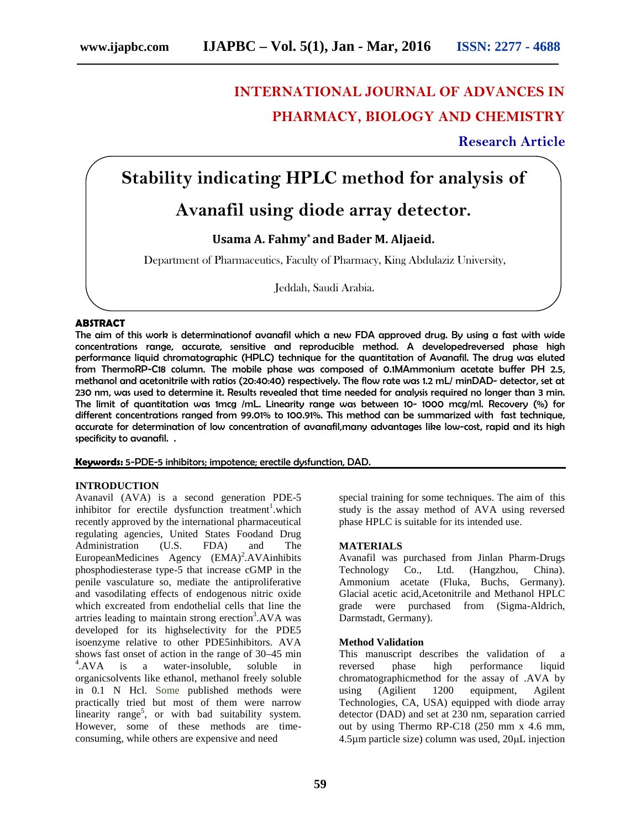# **INTERNATIONAL JOURNAL OF ADVANCES IN PHARMACY, BIOLOGY AND CHEMISTRY**

**Research Article**

## **Stability indicating HPLC method for analysis of**

### **Avanafil using diode array detector.**

### **Usama A. Fahmy\* and Bader M. Aljaeid.**

Department of Pharmaceutics, Faculty of Pharmacy, King Abdulaziz University,

Jeddah, Saudi Arabia.

#### **ABSTRACT**

The aim of this work is determinationof avanafil which a new FDA approved drug. By using a fast with wide concentrations range, accurate, sensitive and reproducible method. A developedreversed phase high performance liquid chromatographic (HPLC) technique for the quantitation of Avanafil. The drug was eluted from ThermoRP-C18 column. The mobile phase was composed of 0.1MAmmonium acetate buffer PH 2.5, methanol and acetonitrile with ratios (20:40:40) respectively. The flow rate was 1.2 mL/ minDAD- detector, set at 230 nm, was used to determine it. Results revealed that time needed for analysis required no longer than 3 min. The limit of quantitation was 1mcg /mL. Linearity range was between 10- 1000 mcg/ml. Recovery (%) for different concentrations ranged from 99.01% to 100.91%. This method can be summarized with fast technique, accurate for determination of low concentration of avanafil,many advantages like low-cost, rapid and its high specificity to avanafil. .

**Keywords:** 5-PDE-5 inhibitors; impotence; erectile dysfunction, DAD.

#### **INTRODUCTION**

Avanavil (AVA) is a second generation PDE-5 inhibitor for erectile dysfunction treatment<sup>1</sup>.which recently approved by the international pharmaceutical regulating agencies, United States Foodand Drug Administration (U.S. FDA) and The  $European Medicine$   $Agency$   $(EMA)^2$ .  $AVA$  inhibits phosphodiesterase type-5 that increase cGMP in the penile vasculature so, mediate the antiproliferative and vasodilating effects of endogenous nitric oxide which excreated from endothelial cells that line the artries leading to maintain strong erection<sup>3</sup>.AVA was developed for its highselectivity for the PDE5 isoenzyme relative to other PDE5inhibitors. AVA shows fast onset of action in the range of 30–45 min  $^4$ .AVA is a water-insoluble, soluble in reversed organicsolvents like ethanol, methanol freely soluble in 0.1 N Hcl. Some published methods were practically tried but most of them were narrow linearity range<sup>5</sup>, or with bad suitability system. However, some of these methods are time consuming, while others are expensive and need

special training for some techniques. The aim of this study is the assay method of AVA using reversed phase HPLC is suitable for its intended use.

#### **MATERIALS**

Avanafil was purchased from Jinlan Pharm-Drugs Technology Co., Ltd. (Hangzhou, China). Ammonium acetate (Fluka, Buchs, Germany). Glacial acetic acid,Acetonitrile and Methanol HPLC grade were purchased from (Sigma-Aldrich, Darmstadt, Germany).

#### **Method Validation**

This manuscript describes the validation of a phase high performance liquid chromatographicmethod for the assay of .AVA by using (Agilient 1200 equipment, Agilent Technologies, CA, USA) equipped with diode array detector (DAD) and set at 230 nm, separation carried out by using Thermo RP-C18 (250 mm x 4.6 mm,  $4.5\mu$ m particle size) column was used,  $20\mu$ L injection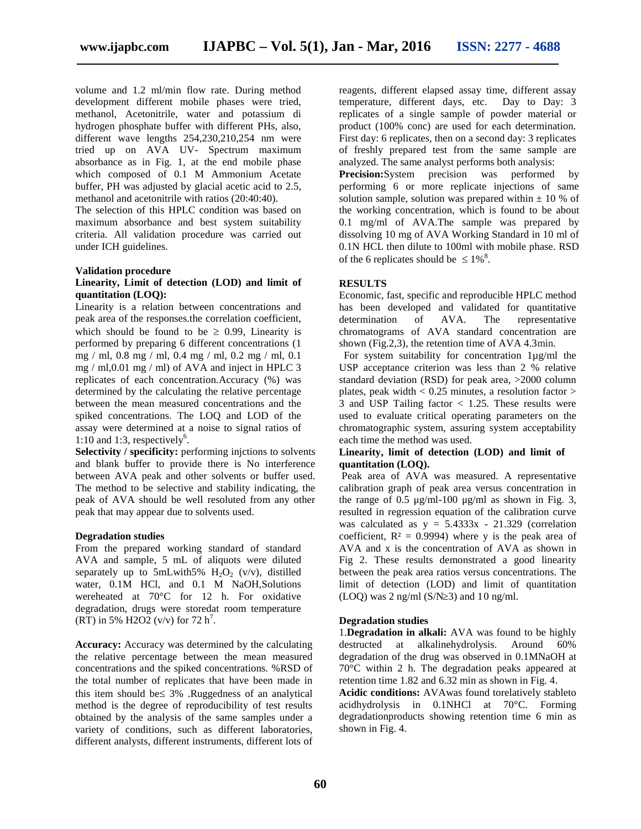volume and 1.2 ml/min flow rate. During method development different mobile phases were tried, methanol, Acetonitrile, water and potassium di hydrogen phosphate buffer with different PHs, also, different wave lengths 254,230,210,254 nm were tried up on AVA UV- Spectrum maximum absorbance as in Fig. 1, at the end mobile phase which composed of 0.1 M Ammonium Acetate buffer, PH was adjusted by glacial acetic acid to 2.5, methanol and acetonitrile with ratios (20:40:40).

The selection of this HPLC condition was based on maximum absorbance and best system suitability criteria. All validation procedure was carried out under ICH guidelines.

#### **Validation procedure**

#### **Linearity, Limit of detection (LOD) and limit of quantitation (LOQ):**

Linearity is a relation between concentrations and peak area of the responses.the correlation coefficient, which should be found to be  $\geq$  0.99. Linearity is performed by preparing 6 different concentrations (1 mg / ml, 0.8 mg / ml, 0.4 mg / ml, 0.2 mg / ml, 0.1 mg / ml,0.01 mg / ml) of AVA and inject in HPLC 3 replicates of each concentration.Accuracy (%) was determined by the calculating the relative percentage between the mean measured concentrations and the spiked concentrations. The LOQ and LOD of the assay were determined at a noise to signal ratios of 1:10 and 1:3, respectively<sup>6</sup>.

**Selectivity / specificity:** performing injctions to solvents and blank buffer to provide there is No interference between AVA peak and other solvents or buffer used. The method to be selective and stability indicating, the peak of AVA should be well resoluted from any other peak that may appear due to solvents used.

#### **Degradation studies**

From the prepared working standard of standard AVA and sample, 5 mL of aliquots were diluted separately up to 5mLwith5%  $H_2O_2$  (v/v), distilled water,  $0.1M$  HCl, and  $0.1$  M NaOH, Solutions wereheated at 70°C for 12 h. For oxidative degradation, drugs were storedat room temperature  $(RT)$  in 5% H2O2 (v/v) for 72 h<sup>7</sup>.

**Accuracy:** Accuracy was determined by the calculating the relative percentage between the mean measured concentrations and the spiked concentrations. %RSD of the total number of replicates that have been made in this item should be  $\leq 3\%$ . Ruggedness of an analytical method is the degree of reproducibility of test results obtained by the analysis of the same samples under a variety of conditions, such as different laboratories, different analysts, different instruments, different lots of

reagents, different elapsed assay time, different assay temperature, different days, etc. Day to Day: 3 replicates of a single sample of powder material or product (100% conc) are used for each determination. First day: 6 replicates, then on a second day: 3 replicates of freshly prepared test from the same sample are analyzed. The same analyst performs both analysis: **Precision:**System precision was performed by performing 6 or more replicate injections of same solution sample, solution was prepared within  $\pm$  10 % of the working concentration, which is found to be about 0.1 mg/ml of AVA.The sample was prepared by dissolving 10 mg of AVA Working Standard in 10 ml of 0.1N HCL then dilute to 100ml with mobile phase. RSD of the 6 replicates should be  $\leq 1\%$ <sup>8</sup>.

#### **RESULTS**

Economic, fast, specific and reproducible HPLC method has been developed and validated for quantitative determination of AVA. The representative chromatograms of AVA standard concentration are shown (Fig.2,3), the retention time of AVA 4.3min.

For system suitability for concentration 1µg/ml the USP acceptance criterion was less than 2 % relative standard deviation (RSD) for peak area, >2000 column plates, peak width  $< 0.25$  minutes, a resolution factor  $>$  $\overline{3}$  and USP Tailing factor  $\langle 1.25, 1 \rangle$  These results were used to evaluate critical operating parameters on the chromatographic system, assuring system acceptability each time the method was used.

#### **Linearity, limit of detection (LOD) and limit of quantitation (LOQ).**

Peak area of AVA was measured. A representative calibration graph of peak area versus concentration in the range of 0.5  $\mu$ g/ml-100  $\mu$ g/ml as shown in Fig. 3, resulted in regression equation of the calibration curve was calculated as  $y = 5.4333x - 21.329$  (correlation coefficient,  $R^2 = 0.9994$ ) where y is the peak area of AVA and x is the concentration of AVA as shown in Fig 2. These results demonstrated a good linearity between the peak area ratios versus concentrations. The limit of detection (LOD) and limit of quantitation (LOQ) was  $2 \text{ ng/ml}$  (S/N  $3$ ) and 10 ng/ml.

#### **Degradation studies**

1.**Degradation in alkali:** AVA was found to be highly destructed at alkalinehydrolysis. Around 60% degradation of the drug was observed in 0.1MNaOH at 70°C within 2 h. The degradation peaks appeared at retention time 1.82 and 6.32 min as shown in Fig. 4.

**Acidic conditions:** AVAwas found torelatively stableto acidhydrolysis in 0.1NHCl at 70°C. Forming degradationproducts showing retention time 6 min as shown in Fig. 4.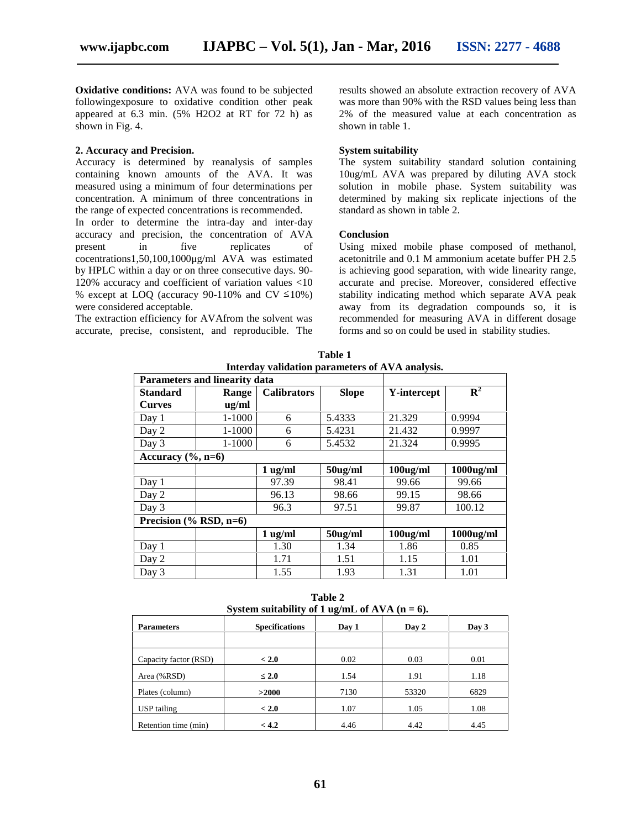**Oxidative conditions:** AVA was found to be subjected followingexposure to oxidative condition other peak appeared at 6.3 min. (5% H2O2 at RT for 72 h) as shown in Fig. 4.

#### **2. Accuracy and Precision.**

Accuracy is determined by reanalysis of samples containing known amounts of the AVA. It was measured using a minimum of four determinations per concentration. A minimum of three concentrations in the range of expected concentrations is recommended.

In order to determine the intra-day and inter-day accuracy and precision, the concentration of AVA present in five replicates of cocentrations1,50,100,1000μg/ml AVA was estimated by HPLC within a day or on three consecutive days. 90- 120% accuracy and coefficient of variation values <10 % except at LOQ (accuracy 90-110% and CV 10%) were considered acceptable.

The extraction efficiency for AVAfrom the solvent was accurate, precise, consistent, and reproducible. The results showed an absolute extraction recovery of AVA was more than 90% with the RSD values being less than 2% of the measured value at each concentration as shown in table 1.

#### **System suitability**

The system suitability standard solution containing 10ug/mL AVA was prepared by diluting AVA stock solution in mobile phase. System suitability was determined by making six replicate injections of the standard as shown in table 2.

#### **Conclusion**

Using mixed mobile phase composed of methanol, acetonitrile and 0.1 M ammonium acetate buffer PH 2.5 is achieving good separation, with wide linearity range, accurate and precise. Moreover, considered effective stability indicating method which separate AVA peak away from its degradation compounds so, it is recommended for measuring AVA in different dosage forms and so on could be used in stability studies.

| Interday validation parameters of AVA analysis. |                                      |                    |              |             |                           |  |  |  |  |
|-------------------------------------------------|--------------------------------------|--------------------|--------------|-------------|---------------------------|--|--|--|--|
|                                                 | <b>Parameters and linearity data</b> |                    |              |             |                           |  |  |  |  |
| <b>Standard</b>                                 | Range                                | <b>Calibrators</b> | <b>Slope</b> | Y-intercept | $\overline{\mathbf{R}^2}$ |  |  |  |  |
| <b>Curves</b>                                   | ug/ml                                |                    |              |             |                           |  |  |  |  |
| Day 1                                           | $1 - 1000$                           | 6                  | 5.4333       | 21.329      | 0.9994                    |  |  |  |  |
| Day 2                                           | 1-1000                               | 6                  | 5.4231       | 21.432      | 0.9997                    |  |  |  |  |
| Day 3                                           | $1 - 1000$                           | 6                  | 5.4532       | 21.324      | 0.9995                    |  |  |  |  |
| Accuracy $(\%$ , n=6)                           |                                      |                    |              |             |                           |  |  |  |  |
|                                                 |                                      | $1 \text{ ug/ml}$  | $50$ ug/ml   | $100$ ug/ml | $1000$ ug/ml              |  |  |  |  |
| Day 1                                           |                                      | 97.39              | 98.41        | 99.66       | 99.66                     |  |  |  |  |
| Day 2                                           |                                      | 96.13              | 98.66        | 99.15       | 98.66                     |  |  |  |  |
| Day 3                                           |                                      | 96.3               | 97.51        | 99.87       | 100.12                    |  |  |  |  |
| Precision $(\%$ RSD, n=6)                       |                                      |                    |              |             |                           |  |  |  |  |
|                                                 |                                      | $1 \text{ ug/ml}$  | $50$ ug/ml   | $100$ ug/ml | $1000$ ug/ml              |  |  |  |  |
| Day 1                                           |                                      | 1.30               | 1.34         | 1.86        | 0.85                      |  |  |  |  |
| Day 2                                           |                                      | 1.71               | 1.51         | 1.15        | 1.01                      |  |  |  |  |
| Day 3                                           |                                      | 1.55               | 1.93         | 1.31        | 1.01                      |  |  |  |  |

**Table 1 Interday validation parameters of AVA analysis.**

**Table 2 System suitability of 1 ug/mL of AVA (n = 6).**

| system suitability of 1 ug/mL of $A \vee A$ ( $\mu = 0$ ). |                       |       |       |       |  |  |  |  |
|------------------------------------------------------------|-----------------------|-------|-------|-------|--|--|--|--|
| <b>Parameters</b>                                          | <b>Specifications</b> | Day 1 | Day 2 | Day 3 |  |  |  |  |
|                                                            |                       |       |       |       |  |  |  |  |
| Capacity factor (RSD)                                      | < 2.0                 | 0.02  | 0.03  | 0.01  |  |  |  |  |
| Area (%RSD)                                                | 2.0                   | 1.54  | 1.91  | 1.18  |  |  |  |  |
| Plates (column)                                            | >2000                 | 7130  | 53320 | 6829  |  |  |  |  |
| USP tailing                                                | < 2.0                 | 1.07  | 1.05  | 1.08  |  |  |  |  |
| Retention time (min)                                       | < 4.2                 | 4.46  | 4.42  | 4.45  |  |  |  |  |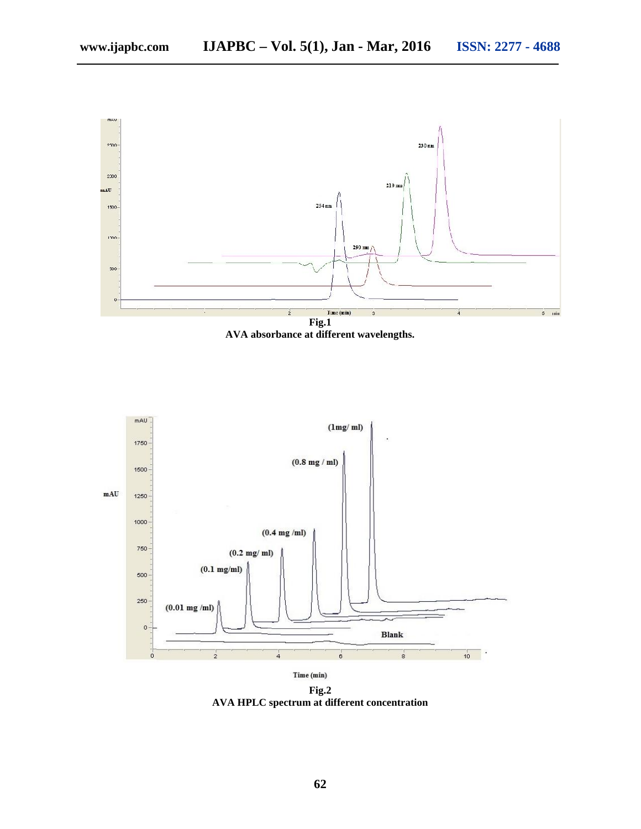

**AVA absorbance at different wavelengths.**



**Fig.2 AVA HPLC spectrum at different concentration**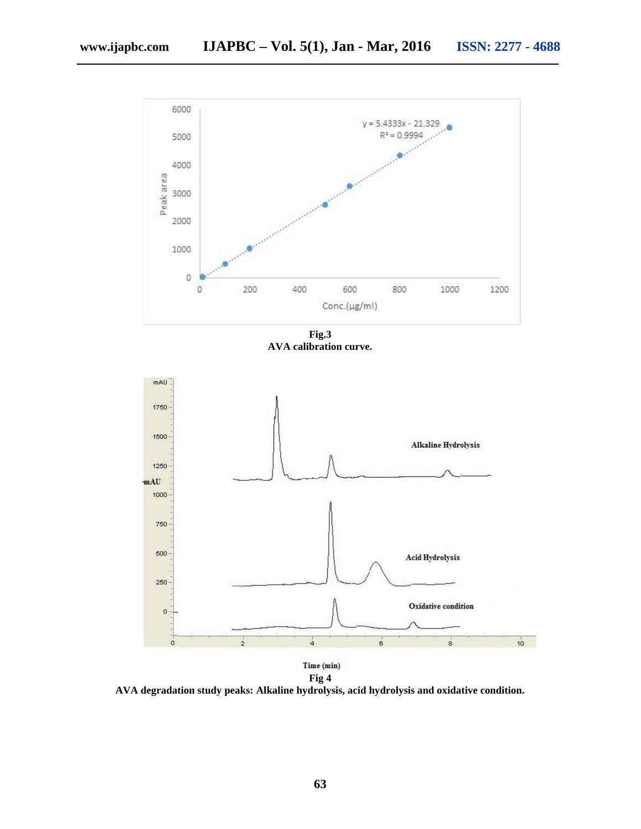

**Fig.3 AVA calibration curve.**



**AVA degradation study peaks: Alkaline hydrolysis, acid hydrolysis and oxidative condition.**